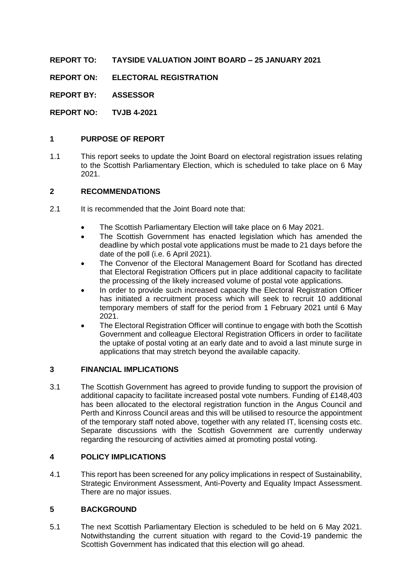**REPORT TO: TAYSIDE VALUATION JOINT BOARD – 25 JANUARY 2021**

**REPORT ON: ELECTORAL REGISTRATION**

**REPORT BY: ASSESSOR**

**REPORT NO: TVJB 4-2021**

### **1 PURPOSE OF REPORT**

1.1 This report seeks to update the Joint Board on electoral registration issues relating to the Scottish Parliamentary Election, which is scheduled to take place on 6 May 2021.

### **2 RECOMMENDATIONS**

- 2.1 It is recommended that the Joint Board note that:
	- The Scottish Parliamentary Election will take place on 6 May 2021.
	- The Scottish Government has enacted legislation which has amended the deadline by which postal vote applications must be made to 21 days before the date of the poll (i.e. 6 April 2021).
	- The Convenor of the Electoral Management Board for Scotland has directed that Electoral Registration Officers put in place additional capacity to facilitate the processing of the likely increased volume of postal vote applications.
	- In order to provide such increased capacity the Electoral Registration Officer has initiated a recruitment process which will seek to recruit 10 additional temporary members of staff for the period from 1 February 2021 until 6 May 2021.
	- The Electoral Registration Officer will continue to engage with both the Scottish Government and colleague Electoral Registration Officers in order to facilitate the uptake of postal voting at an early date and to avoid a last minute surge in applications that may stretch beyond the available capacity.

#### **3 FINANCIAL IMPLICATIONS**

3.1 The Scottish Government has agreed to provide funding to support the provision of additional capacity to facilitate increased postal vote numbers. Funding of £148,403 has been allocated to the electoral registration function in the Angus Council and Perth and Kinross Council areas and this will be utilised to resource the appointment of the temporary staff noted above, together with any related IT, licensing costs etc. Separate discussions with the Scottish Government are currently underway regarding the resourcing of activities aimed at promoting postal voting.

#### **4 POLICY IMPLICATIONS**

4.1 This report has been screened for any policy implications in respect of Sustainability, Strategic Environment Assessment, Anti-Poverty and Equality Impact Assessment. There are no major issues.

# **5 BACKGROUND**

5.1 The next Scottish Parliamentary Election is scheduled to be held on 6 May 2021. Notwithstanding the current situation with regard to the Covid-19 pandemic the Scottish Government has indicated that this election will go ahead.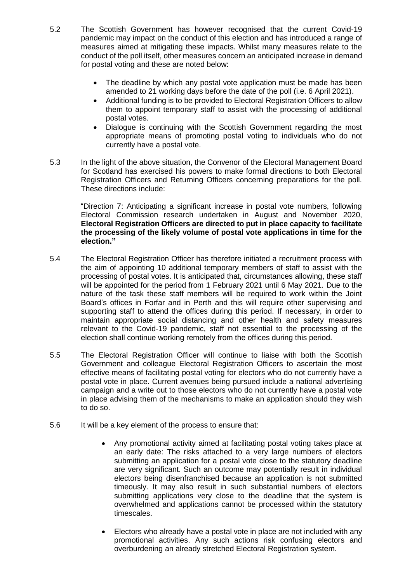- 5.2 The Scottish Government has however recognised that the current Covid-19 pandemic may impact on the conduct of this election and has introduced a range of measures aimed at mitigating these impacts. Whilst many measures relate to the conduct of the poll itself, other measures concern an anticipated increase in demand for postal voting and these are noted below:
	- The deadline by which any postal vote application must be made has been amended to 21 working days before the date of the poll (i.e. 6 April 2021).
	- Additional funding is to be provided to Electoral Registration Officers to allow them to appoint temporary staff to assist with the processing of additional postal votes.
	- Dialogue is continuing with the Scottish Government regarding the most appropriate means of promoting postal voting to individuals who do not currently have a postal vote.
- 5.3 In the light of the above situation, the Convenor of the Electoral Management Board for Scotland has exercised his powers to make formal directions to both Electoral Registration Officers and Returning Officers concerning preparations for the poll. These directions include:

"Direction 7: Anticipating a significant increase in postal vote numbers, following Electoral Commission research undertaken in August and November 2020, **Electoral Registration Officers are directed to put in place capacity to facilitate the processing of the likely volume of postal vote applications in time for the election."**

- 5.4 The Electoral Registration Officer has therefore initiated a recruitment process with the aim of appointing 10 additional temporary members of staff to assist with the processing of postal votes. It is anticipated that, circumstances allowing, these staff will be appointed for the period from 1 February 2021 until 6 May 2021. Due to the nature of the task these staff members will be required to work within the Joint Board's offices in Forfar and in Perth and this will require other supervising and supporting staff to attend the offices during this period. If necessary, in order to maintain appropriate social distancing and other health and safety measures relevant to the Covid-19 pandemic, staff not essential to the processing of the election shall continue working remotely from the offices during this period.
- 5.5 The Electoral Registration Officer will continue to liaise with both the Scottish Government and colleague Electoral Registration Officers to ascertain the most effective means of facilitating postal voting for electors who do not currently have a postal vote in place. Current avenues being pursued include a national advertising campaign and a write out to those electors who do not currently have a postal vote in place advising them of the mechanisms to make an application should they wish to do so.
- 5.6 It will be a key element of the process to ensure that:
	- Any promotional activity aimed at facilitating postal voting takes place at an early date: The risks attached to a very large numbers of electors submitting an application for a postal vote close to the statutory deadline are very significant. Such an outcome may potentially result in individual electors being disenfranchised because an application is not submitted timeously. It may also result in such substantial numbers of electors submitting applications very close to the deadline that the system is overwhelmed and applications cannot be processed within the statutory timescales.
	- Electors who already have a postal vote in place are not included with any promotional activities. Any such actions risk confusing electors and overburdening an already stretched Electoral Registration system.